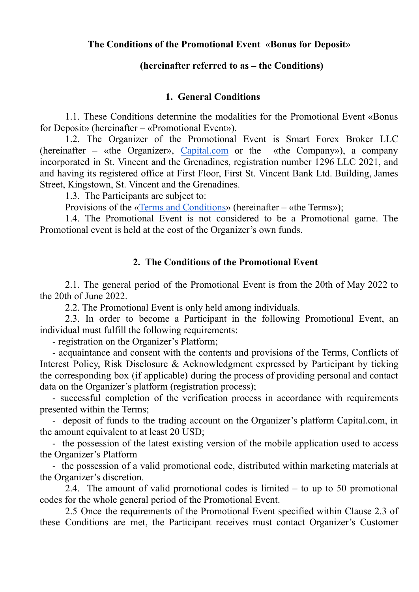## **The Conditions of the Promotional Event** «**Bonus for Deposit**»

## **(hereinafter referred to as – the Conditions)**

## **1. General Conditions**

1.1. These Conditions determine the modalities for the Promotional Event «Bonus for Deposit» (hereinafter – «Promotional Event»).

1.2. The Organizer of the Promotional Event is Smart Forex Broker LLC (hereinafter – «the Organizer», [Capital.com](http://capital.com) or the «the Company»), a company incorporated in St. Vincent and the Grenadines, registration number 1296 LLC 2021, and апd having its registered office at First Floor, First St. Vincent Ваnk Ltd. Building, James Street, Kingstown, St. Vincent and the Grenadines.

1.3. The Participants are subject to:

Provisions of the «Terms and [Conditions](https://img.capital.com/docs/terms_and_conditions_stvincent_capitalcom.pdf)» (hereinafter – «the Terms»);

1.4. The Promotional Event is not considered to be a Promotional game. The Promotional event is held at the cost of the Organizer's own funds.

## **2. The Conditions of the Promotional Event**

2.1. The general period of the Promotional Event is from the 20th of May 2022 to the 20th of June 2022.

2.2. The Promotional Event is only held among individuals.

2.3. In order to become a Participant in the following Promotional Event, an individual must fulfill the following requirements:

- registration on the Organizer's Platform;

- acquaintance and consent with the contents and provisions of the Terms, Conflicts of Interest Policy, Risk Disclosure & Acknowledgment expressed by Participant by ticking the corresponding box (if applicable) during the process of providing personal and contact data on the Organizer's platform (registration process);

- successful completion of the verification process in accordance with requirements presented within the Terms;

- deposit of funds to the trading account on the Organizer's platform Capital.com, in the amount equivalent to at least 20 USD;

- the possession of the latest existing version of the mobile application used to access the Organizer's Platform

- the possession of a valid promotional code, distributed within marketing materials at the Organizer's discretion.

2.4. The amount of valid promotional codes is limited – to up to 50 promotional codes for the whole general period of the Promotional Event.

2.5 Once the requirements of the Promotional Event specified within Clause 2.3 of these Conditions are met, the Participant receives must contact Organizer's Customer